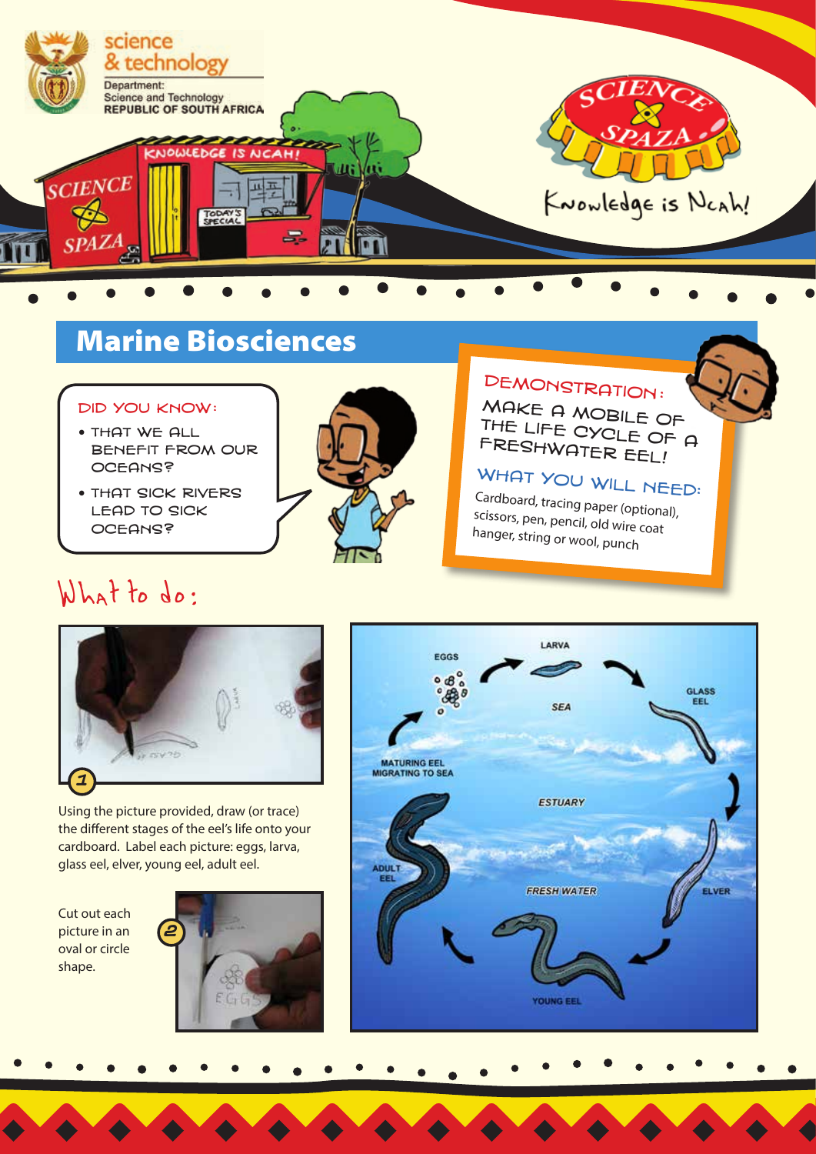

# Marine Biosciences

#### Did you know :

- $\bullet$  THAT WF ALL benefit from our oceans?
- **THAT SICK RIVERS** lead to sick oceans?



# DEMONSTRATION:

Make a mobile of the life cycle of a freshwater eel!

## WHAT YOU WILL NEED:<br>Circle of

Cardboard, tracing paper (optional), scissors, pen, pencil, old wire coat hanger, string or wool, punch

# What to do:



Using the picture provided, draw (or trace) the different stages of the eel's life onto your cardboard. Label each picture: eggs, larva, glass eel, elver, young eel, adult eel.

Cut out each picture in an oval or circle shape.